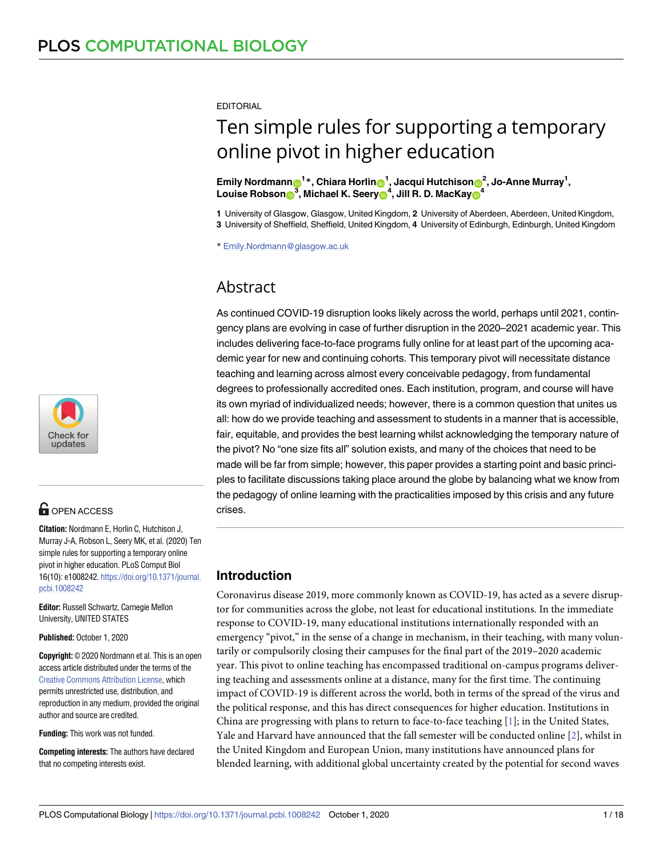<span id="page-0-0"></span>EDITORIAL

# Ten simple rules for supporting a temporary online pivot in higher education

 $\mathbf{F}$ mily <code>Nordmann $\mathbf{D}^{1*}$ , Chiara Horlin $\mathbf{D}^{1}$ , Jacqui Hutchison $\mathbf{D}^{2}$ , Jo-Anne Murray<sup>1</sup>,</code>  $\bullet$  Louise Robson $\bullet$ <sup>3</sup>, Michael K. Seery $\bullet$ <sup>4</sup>, Jill R. D. MacKay $\bullet$ <sup>4</sup>

**1** University of Glasgow, Glasgow, United Kingdom, **2** University of Aberdeen, Aberdeen, United Kingdom, **3** University of Sheffield, Sheffield, United Kingdom, **4** University of Edinburgh, Edinburgh, United Kingdom

\* Emily.Nordmann@glasgow.ac.uk

# Abstract

As continued COVID-19 disruption looks likely across the world, perhaps until 2021, contingency plans are evolving in case of further disruption in the 2020–2021 academic year. This includes delivering face-to-face programs fully online for at least part of the upcoming academic year for new and continuing cohorts. This temporary pivot will necessitate distance teaching and learning across almost every conceivable pedagogy, from fundamental degrees to professionally accredited ones. Each institution, program, and course will have its own myriad of individualized needs; however, there is a common question that unites us all: how do we provide teaching and assessment to students in a manner that is accessible, fair, equitable, and provides the best learning whilst acknowledging the temporary nature of the pivot? No "one size fits all" solution exists, and many of the choices that need to be made will be far from simple; however, this paper provides a starting point and basic principles to facilitate discussions taking place around the globe by balancing what we know from the pedagogy of online learning with the practicalities imposed by this crisis and any future crises.

# **Introduction**

Coronavirus disease 2019, more commonly known as COVID-19, has acted as a severe disruptor for communities across the globe, not least for educational institutions. In the immediate response to COVID-19, many educational institutions internationally responded with an emergency "pivot," in the sense of a change in mechanism, in their teaching, with many voluntarily or compulsorily closing their campuses for the final part of the 2019–2020 academic year. This pivot to online teaching has encompassed traditional on-campus programs delivering teaching and assessments online at a distance, many for the first time. The continuing impact of COVID-19 is different across the world, both in terms of the spread of the virus and the political response, and this has direct consequences for higher education. Institutions in China are progressing with plans to return to face-to-face teaching [\[1](#page-13-0)]; in the United States, Yale and Harvard have announced that the fall semester will be conducted online [[2](#page-13-0)], whilst in the United Kingdom and European Union, many institutions have announced plans for blended learning, with additional global uncertainty created by the potential for second waves



# **G** OPEN ACCESS

**Citation:** Nordmann E, Horlin C, Hutchison J, Murray J-A, Robson L, Seery MK, et al. (2020) Ten simple rules for supporting a temporary online pivot in higher education. PLoS Comput Biol 16(10): e1008242. [https://doi.org/10.1371/journal.](https://doi.org/10.1371/journal.pcbi.1008242) [pcbi.1008242](https://doi.org/10.1371/journal.pcbi.1008242)

**Editor:** Russell Schwartz, Carnegie Mellon University, UNITED STATES

**Published:** October 1, 2020

**Copyright:** © 2020 Nordmann et al. This is an open access article distributed under the terms of the Creative Commons [Attribution](http://creativecommons.org/licenses/by/4.0/) License, which permits unrestricted use, distribution, and reproduction in any medium, provided the original author and source are credited.

**Funding:** This work was not funded.

**Competing interests:** The authors have declared that no competing interests exist.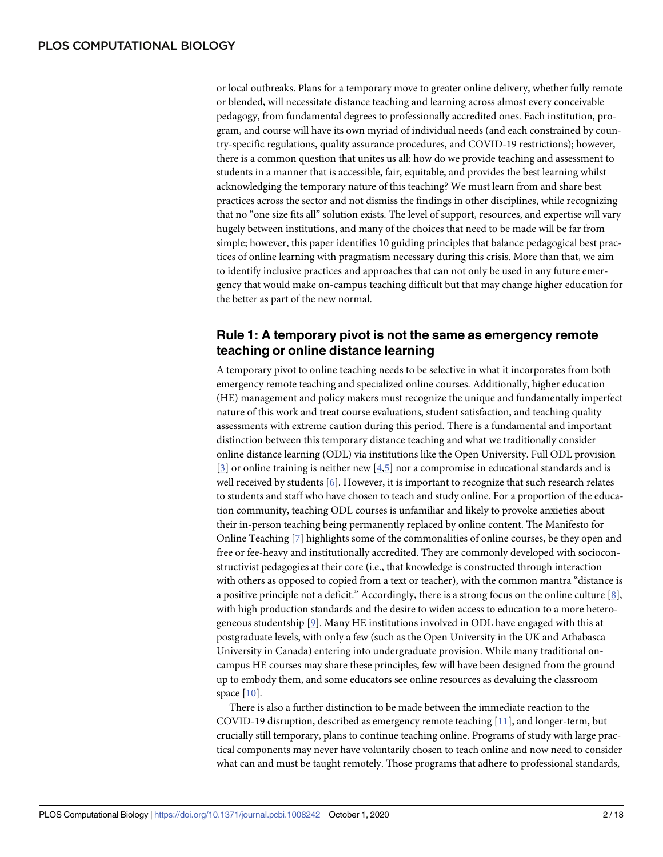<span id="page-1-0"></span>or local outbreaks. Plans for a temporary move to greater online delivery, whether fully remote or blended, will necessitate distance teaching and learning across almost every conceivable pedagogy, from fundamental degrees to professionally accredited ones. Each institution, program, and course will have its own myriad of individual needs (and each constrained by country-specific regulations, quality assurance procedures, and COVID-19 restrictions); however, there is a common question that unites us all: how do we provide teaching and assessment to students in a manner that is accessible, fair, equitable, and provides the best learning whilst acknowledging the temporary nature of this teaching? We must learn from and share best practices across the sector and not dismiss the findings in other disciplines, while recognizing that no "one size fits all" solution exists. The level of support, resources, and expertise will vary hugely between institutions, and many of the choices that need to be made will be far from simple; however, this paper identifies 10 guiding principles that balance pedagogical best practices of online learning with pragmatism necessary during this crisis. More than that, we aim to identify inclusive practices and approaches that can not only be used in any future emergency that would make on-campus teaching difficult but that may change higher education for the better as part of the new normal.

#### **Rule 1: A temporary pivot is not the same as emergency remote teaching or online distance learning**

A temporary pivot to online teaching needs to be selective in what it incorporates from both emergency remote teaching and specialized online courses. Additionally, higher education (HE) management and policy makers must recognize the unique and fundamentally imperfect nature of this work and treat course evaluations, student satisfaction, and teaching quality assessments with extreme caution during this period. There is a fundamental and important distinction between this temporary distance teaching and what we traditionally consider online distance learning (ODL) via institutions like the Open University. Full ODL provision [\[3](#page-13-0)] or online training is neither new [\[4,5\]](#page-13-0) nor a compromise in educational standards and is well received by students [\[6](#page-13-0)]. However, it is important to recognize that such research relates to students and staff who have chosen to teach and study online. For a proportion of the education community, teaching ODL courses is unfamiliar and likely to provoke anxieties about their in-person teaching being permanently replaced by online content. The Manifesto for Online Teaching [[7](#page-13-0)] highlights some of the commonalities of online courses, be they open and free or fee-heavy and institutionally accredited. They are commonly developed with socioconstructivist pedagogies at their core (i.e., that knowledge is constructed through interaction with others as opposed to copied from a text or teacher), with the common mantra "distance is a positive principle not a deficit." Accordingly, there is a strong focus on the online culture  $[8]$  $[8]$ , with high production standards and the desire to widen access to education to a more heterogeneous studentship [[9\]](#page-13-0). Many HE institutions involved in ODL have engaged with this at postgraduate levels, with only a few (such as the Open University in the UK and Athabasca University in Canada) entering into undergraduate provision. While many traditional oncampus HE courses may share these principles, few will have been designed from the ground up to embody them, and some educators see online resources as devaluing the classroom space [\[10\]](#page-13-0).

There is also a further distinction to be made between the immediate reaction to the COVID-19 disruption, described as emergency remote teaching [[11](#page-13-0)], and longer-term, but crucially still temporary, plans to continue teaching online. Programs of study with large practical components may never have voluntarily chosen to teach online and now need to consider what can and must be taught remotely. Those programs that adhere to professional standards,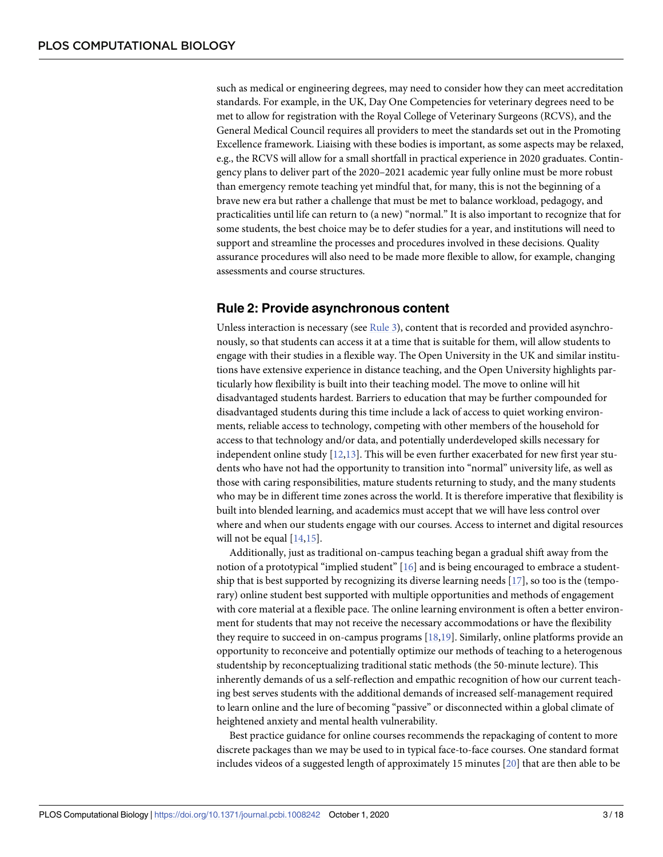<span id="page-2-0"></span>such as medical or engineering degrees, may need to consider how they can meet accreditation standards. For example, in the UK, Day One Competencies for veterinary degrees need to be met to allow for registration with the Royal College of Veterinary Surgeons (RCVS), and the General Medical Council requires all providers to meet the standards set out in the Promoting Excellence framework. Liaising with these bodies is important, as some aspects may be relaxed, e.g., the RCVS will allow for a small shortfall in practical experience in 2020 graduates. Contingency plans to deliver part of the 2020–2021 academic year fully online must be more robust than emergency remote teaching yet mindful that, for many, this is not the beginning of a brave new era but rather a challenge that must be met to balance workload, pedagogy, and practicalities until life can return to (a new) "normal." It is also important to recognize that for some students, the best choice may be to defer studies for a year, and institutions will need to support and streamline the processes and procedures involved in these decisions. Quality assurance procedures will also need to be made more flexible to allow, for example, changing assessments and course structures.

#### **Rule 2: Provide asynchronous content**

Unless interaction is necessary (see [Rule](#page-3-0)  $3$ ), content that is recorded and provided asynchronously, so that students can access it at a time that is suitable for them, will allow students to engage with their studies in a flexible way. The Open University in the UK and similar institutions have extensive experience in distance teaching, and the Open University highlights particularly how flexibility is built into their teaching model. The move to online will hit disadvantaged students hardest. Barriers to education that may be further compounded for disadvantaged students during this time include a lack of access to quiet working environments, reliable access to technology, competing with other members of the household for access to that technology and/or data, and potentially underdeveloped skills necessary for independent online study  $[12,13]$  $[12,13]$  $[12,13]$ . This will be even further exacerbated for new first year students who have not had the opportunity to transition into "normal" university life, as well as those with caring responsibilities, mature students returning to study, and the many students who may be in different time zones across the world. It is therefore imperative that flexibility is built into blended learning, and academics must accept that we will have less control over where and when our students engage with our courses. Access to internet and digital resources will not be equal  $[14,15]$  $[14,15]$  $[14,15]$  $[14,15]$  $[14,15]$ .

Additionally, just as traditional on-campus teaching began a gradual shift away from the notion of a prototypical "implied student" [\[16\]](#page-14-0) and is being encouraged to embrace a studentship that is best supported by recognizing its diverse learning needs [[17](#page-14-0)], so too is the (temporary) online student best supported with multiple opportunities and methods of engagement with core material at a flexible pace. The online learning environment is often a better environment for students that may not receive the necessary accommodations or have the flexibility they require to succeed in on-campus programs [\[18,19\]](#page-14-0). Similarly, online platforms provide an opportunity to reconceive and potentially optimize our methods of teaching to a heterogenous studentship by reconceptualizing traditional static methods (the 50-minute lecture). This inherently demands of us a self-reflection and empathic recognition of how our current teaching best serves students with the additional demands of increased self-management required to learn online and the lure of becoming "passive" or disconnected within a global climate of heightened anxiety and mental health vulnerability.

Best practice guidance for online courses recommends the repackaging of content to more discrete packages than we may be used to in typical face-to-face courses. One standard format includes videos of a suggested length of approximately 15 minutes [\[20\]](#page-14-0) that are then able to be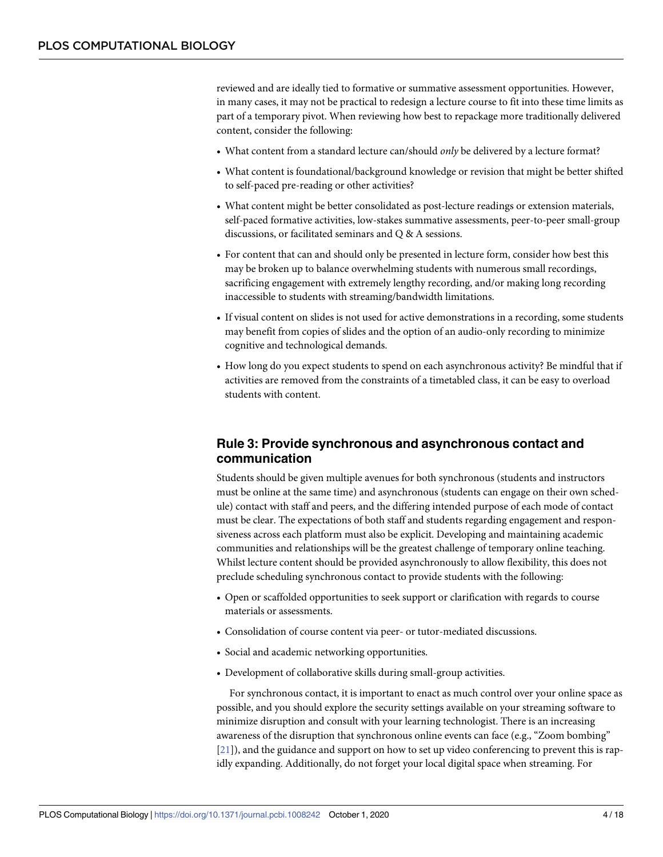<span id="page-3-0"></span>reviewed and are ideally tied to formative or summative assessment opportunities. However, in many cases, it may not be practical to redesign a lecture course to fit into these time limits as part of a temporary pivot. When reviewing how best to repackage more traditionally delivered content, consider the following:

- What content from a standard lecture can/should *only* be delivered by a lecture format?
- What content is foundational/background knowledge or revision that might be better shifted to self-paced pre-reading or other activities?
- What content might be better consolidated as post-lecture readings or extension materials, self-paced formative activities, low-stakes summative assessments, peer-to-peer small-group discussions, or facilitated seminars and Q & A sessions.
- For content that can and should only be presented in lecture form, consider how best this may be broken up to balance overwhelming students with numerous small recordings, sacrificing engagement with extremely lengthy recording, and/or making long recording inaccessible to students with streaming/bandwidth limitations.
- If visual content on slides is not used for active demonstrations in a recording, some students may benefit from copies of slides and the option of an audio-only recording to minimize cognitive and technological demands.
- How long do you expect students to spend on each asynchronous activity? Be mindful that if activities are removed from the constraints of a timetabled class, it can be easy to overload students with content.

### **Rule 3: Provide synchronous and asynchronous contact and communication**

Students should be given multiple avenues for both synchronous (students and instructors must be online at the same time) and asynchronous (students can engage on their own schedule) contact with staff and peers, and the differing intended purpose of each mode of contact must be clear. The expectations of both staff and students regarding engagement and responsiveness across each platform must also be explicit. Developing and maintaining academic communities and relationships will be the greatest challenge of temporary online teaching. Whilst lecture content should be provided asynchronously to allow flexibility, this does not preclude scheduling synchronous contact to provide students with the following:

- Open or scaffolded opportunities to seek support or clarification with regards to course materials or assessments.
- Consolidation of course content via peer- or tutor-mediated discussions.
- Social and academic networking opportunities.
- Development of collaborative skills during small-group activities.

For synchronous contact, it is important to enact as much control over your online space as possible, and you should explore the security settings available on your streaming software to minimize disruption and consult with your learning technologist. There is an increasing awareness of the disruption that synchronous online events can face (e.g., "Zoom bombing" [\[21\]](#page-14-0)), and the guidance and support on how to set up video conferencing to prevent this is rapidly expanding. Additionally, do not forget your local digital space when streaming. For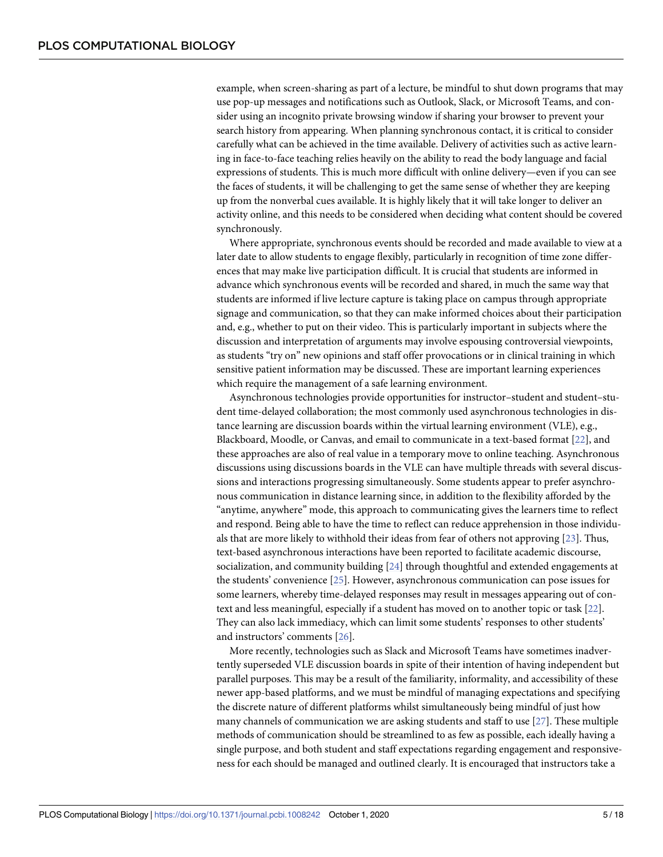<span id="page-4-0"></span>example, when screen-sharing as part of a lecture, be mindful to shut down programs that may use pop-up messages and notifications such as Outlook, Slack, or Microsoft Teams, and consider using an incognito private browsing window if sharing your browser to prevent your search history from appearing. When planning synchronous contact, it is critical to consider carefully what can be achieved in the time available. Delivery of activities such as active learning in face-to-face teaching relies heavily on the ability to read the body language and facial expressions of students. This is much more difficult with online delivery—even if you can see the faces of students, it will be challenging to get the same sense of whether they are keeping up from the nonverbal cues available. It is highly likely that it will take longer to deliver an activity online, and this needs to be considered when deciding what content should be covered synchronously.

Where appropriate, synchronous events should be recorded and made available to view at a later date to allow students to engage flexibly, particularly in recognition of time zone differences that may make live participation difficult. It is crucial that students are informed in advance which synchronous events will be recorded and shared, in much the same way that students are informed if live lecture capture is taking place on campus through appropriate signage and communication, so that they can make informed choices about their participation and, e.g., whether to put on their video. This is particularly important in subjects where the discussion and interpretation of arguments may involve espousing controversial viewpoints, as students "try on" new opinions and staff offer provocations or in clinical training in which sensitive patient information may be discussed. These are important learning experiences which require the management of a safe learning environment.

Asynchronous technologies provide opportunities for instructor–student and student–student time-delayed collaboration; the most commonly used asynchronous technologies in distance learning are discussion boards within the virtual learning environment (VLE), e.g., Blackboard, Moodle, or Canvas, and email to communicate in a text-based format [\[22\]](#page-14-0), and these approaches are also of real value in a temporary move to online teaching. Asynchronous discussions using discussions boards in the VLE can have multiple threads with several discussions and interactions progressing simultaneously. Some students appear to prefer asynchronous communication in distance learning since, in addition to the flexibility afforded by the "anytime, anywhere" mode, this approach to communicating gives the learners time to reflect and respond. Being able to have the time to reflect can reduce apprehension in those individuals that are more likely to withhold their ideas from fear of others not approving [\[23\]](#page-14-0). Thus, text-based asynchronous interactions have been reported to facilitate academic discourse, socialization, and community building [[24](#page-14-0)] through thoughtful and extended engagements at the students' convenience [\[25\]](#page-14-0). However, asynchronous communication can pose issues for some learners, whereby time-delayed responses may result in messages appearing out of context and less meaningful, especially if a student has moved on to another topic or task [\[22\]](#page-14-0). They can also lack immediacy, which can limit some students' responses to other students' and instructors' comments [[26](#page-14-0)].

More recently, technologies such as Slack and Microsoft Teams have sometimes inadvertently superseded VLE discussion boards in spite of their intention of having independent but parallel purposes. This may be a result of the familiarity, informality, and accessibility of these newer app-based platforms, and we must be mindful of managing expectations and specifying the discrete nature of different platforms whilst simultaneously being mindful of just how many channels of communication we are asking students and staff to use [[27](#page-14-0)]. These multiple methods of communication should be streamlined to as few as possible, each ideally having a single purpose, and both student and staff expectations regarding engagement and responsiveness for each should be managed and outlined clearly. It is encouraged that instructors take a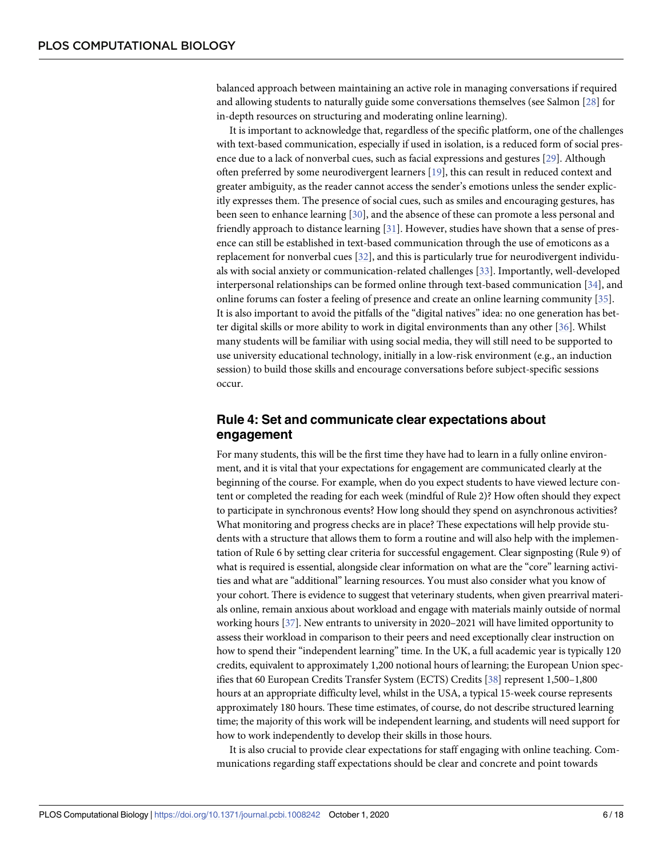<span id="page-5-0"></span>balanced approach between maintaining an active role in managing conversations if required and allowing students to naturally guide some conversations themselves (see Salmon [\[28\]](#page-14-0) for in-depth resources on structuring and moderating online learning).

It is important to acknowledge that, regardless of the specific platform, one of the challenges with text-based communication, especially if used in isolation, is a reduced form of social presence due to a lack of nonverbal cues, such as facial expressions and gestures [\[29\]](#page-14-0). Although often preferred by some neurodivergent learners [[19](#page-14-0)], this can result in reduced context and greater ambiguity, as the reader cannot access the sender's emotions unless the sender explicitly expresses them. The presence of social cues, such as smiles and encouraging gestures, has been seen to enhance learning [\[30\]](#page-14-0), and the absence of these can promote a less personal and friendly approach to distance learning [[31](#page-14-0)]. However, studies have shown that a sense of presence can still be established in text-based communication through the use of emoticons as a replacement for nonverbal cues [[32](#page-14-0)], and this is particularly true for neurodivergent individuals with social anxiety or communication-related challenges [[33](#page-14-0)]. Importantly, well-developed interpersonal relationships can be formed online through text-based communication [[34](#page-14-0)], and online forums can foster a feeling of presence and create an online learning community [[35](#page-14-0)]. It is also important to avoid the pitfalls of the "digital natives" idea: no one generation has better digital skills or more ability to work in digital environments than any other [\[36\]](#page-14-0). Whilst many students will be familiar with using social media, they will still need to be supported to use university educational technology, initially in a low-risk environment (e.g., an induction session) to build those skills and encourage conversations before subject-specific sessions occur.

#### **Rule 4: Set and communicate clear expectations about engagement**

For many students, this will be the first time they have had to learn in a fully online environment, and it is vital that your expectations for engagement are communicated clearly at the beginning of the course. For example, when do you expect students to have viewed lecture content or completed the reading for each week (mindful of Rule 2)? How often should they expect to participate in synchronous events? How long should they spend on asynchronous activities? What monitoring and progress checks are in place? These expectations will help provide students with a structure that allows them to form a routine and will also help with the implementation of Rule 6 by setting clear criteria for successful engagement. Clear signposting (Rule 9) of what is required is essential, alongside clear information on what are the "core" learning activities and what are "additional" learning resources. You must also consider what you know of your cohort. There is evidence to suggest that veterinary students, when given prearrival materials online, remain anxious about workload and engage with materials mainly outside of normal working hours [\[37\]](#page-14-0). New entrants to university in 2020–2021 will have limited opportunity to assess their workload in comparison to their peers and need exceptionally clear instruction on how to spend their "independent learning" time. In the UK, a full academic year is typically 120 credits, equivalent to approximately 1,200 notional hours of learning; the European Union specifies that 60 European Credits Transfer System (ECTS) Credits [[38](#page-15-0)] represent 1,500–1,800 hours at an appropriate difficulty level, whilst in the USA, a typical 15-week course represents approximately 180 hours. These time estimates, of course, do not describe structured learning time; the majority of this work will be independent learning, and students will need support for how to work independently to develop their skills in those hours.

It is also crucial to provide clear expectations for staff engaging with online teaching. Communications regarding staff expectations should be clear and concrete and point towards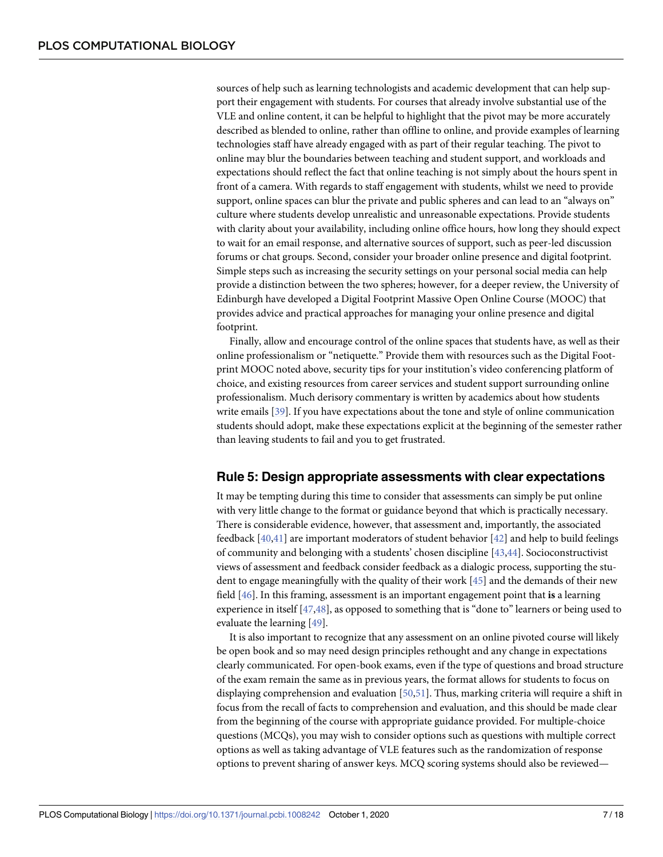<span id="page-6-0"></span>sources of help such as learning technologists and academic development that can help support their engagement with students. For courses that already involve substantial use of the VLE and online content, it can be helpful to highlight that the pivot may be more accurately described as blended to online, rather than offline to online, and provide examples of learning technologies staff have already engaged with as part of their regular teaching. The pivot to online may blur the boundaries between teaching and student support, and workloads and expectations should reflect the fact that online teaching is not simply about the hours spent in front of a camera. With regards to staff engagement with students, whilst we need to provide support, online spaces can blur the private and public spheres and can lead to an "always on" culture where students develop unrealistic and unreasonable expectations. Provide students with clarity about your availability, including online office hours, how long they should expect to wait for an email response, and alternative sources of support, such as peer-led discussion forums or chat groups. Second, consider your broader online presence and digital footprint. Simple steps such as increasing the security settings on your personal social media can help provide a distinction between the two spheres; however, for a deeper review, the University of Edinburgh have developed a Digital Footprint Massive Open Online Course (MOOC) that provides advice and practical approaches for managing your online presence and digital footprint.

Finally, allow and encourage control of the online spaces that students have, as well as their online professionalism or "netiquette." Provide them with resources such as the Digital Footprint MOOC noted above, security tips for your institution's video conferencing platform of choice, and existing resources from career services and student support surrounding online professionalism. Much derisory commentary is written by academics about how students write emails [[39](#page-15-0)]. If you have expectations about the tone and style of online communication students should adopt, make these expectations explicit at the beginning of the semester rather than leaving students to fail and you to get frustrated.

#### **Rule 5: Design appropriate assessments with clear expectations**

It may be tempting during this time to consider that assessments can simply be put online with very little change to the format or guidance beyond that which is practically necessary. There is considerable evidence, however, that assessment and, importantly, the associated feedback [[40](#page-15-0),[41](#page-15-0)] are important moderators of student behavior [\[42\]](#page-15-0) and help to build feelings of community and belonging with a students' chosen discipline [[43](#page-15-0),[44](#page-15-0)]. Socioconstructivist views of assessment and feedback consider feedback as a dialogic process, supporting the student to engage meaningfully with the quality of their work [[45](#page-15-0)] and the demands of their new field [\[46\]](#page-15-0). In this framing, assessment is an important engagement point that **is** a learning experience in itself [[47](#page-15-0),[48](#page-15-0)], as opposed to something that is "done to" learners or being used to evaluate the learning [[49](#page-15-0)].

It is also important to recognize that any assessment on an online pivoted course will likely be open book and so may need design principles rethought and any change in expectations clearly communicated. For open-book exams, even if the type of questions and broad structure of the exam remain the same as in previous years, the format allows for students to focus on displaying comprehension and evaluation [\[50,51](#page-15-0)]. Thus, marking criteria will require a shift in focus from the recall of facts to comprehension and evaluation, and this should be made clear from the beginning of the course with appropriate guidance provided. For multiple-choice questions (MCQs), you may wish to consider options such as questions with multiple correct options as well as taking advantage of VLE features such as the randomization of response options to prevent sharing of answer keys. MCQ scoring systems should also be reviewed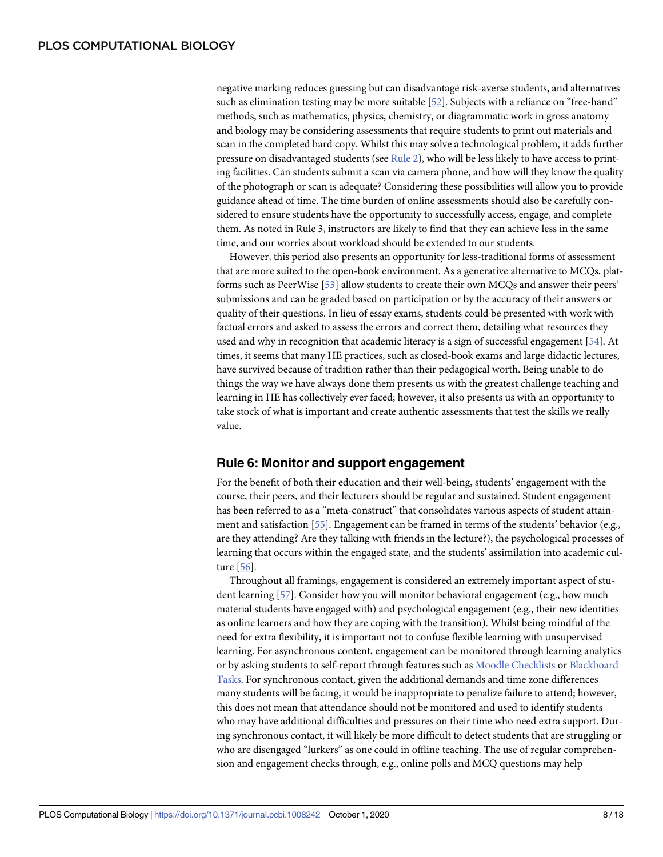<span id="page-7-0"></span>negative marking reduces guessing but can disadvantage risk-averse students, and alternatives such as elimination testing may be more suitable [\[52\]](#page-15-0). Subjects with a reliance on "free-hand" methods, such as mathematics, physics, chemistry, or diagrammatic work in gross anatomy and biology may be considering assessments that require students to print out materials and scan in the completed hard copy. Whilst this may solve a technological problem, it adds further pressure on disadvantaged students (see [Rule](#page-2-0) 2), who will be less likely to have access to printing facilities. Can students submit a scan via camera phone, and how will they know the quality of the photograph or scan is adequate? Considering these possibilities will allow you to provide guidance ahead of time. The time burden of online assessments should also be carefully considered to ensure students have the opportunity to successfully access, engage, and complete them. As noted in Rule 3, instructors are likely to find that they can achieve less in the same time, and our worries about workload should be extended to our students.

However, this period also presents an opportunity for less-traditional forms of assessment that are more suited to the open-book environment. As a generative alternative to MCQs, platforms such as PeerWise [[53](#page-15-0)] allow students to create their own MCQs and answer their peers' submissions and can be graded based on participation or by the accuracy of their answers or quality of their questions. In lieu of essay exams, students could be presented with work with factual errors and asked to assess the errors and correct them, detailing what resources they used and why in recognition that academic literacy is a sign of successful engagement [\[54\]](#page-15-0). At times, it seems that many HE practices, such as closed-book exams and large didactic lectures, have survived because of tradition rather than their pedagogical worth. Being unable to do things the way we have always done them presents us with the greatest challenge teaching and learning in HE has collectively ever faced; however, it also presents us with an opportunity to take stock of what is important and create authentic assessments that test the skills we really value.

#### **Rule 6: Monitor and support engagement**

For the benefit of both their education and their well-being, students' engagement with the course, their peers, and their lecturers should be regular and sustained. Student engagement has been referred to as a "meta-construct" that consolidates various aspects of student attainment and satisfaction [[55](#page-15-0)]. Engagement can be framed in terms of the students' behavior (e.g., are they attending? Are they talking with friends in the lecture?), the psychological processes of learning that occurs within the engaged state, and the students' assimilation into academic culture [[56](#page-15-0)].

Throughout all framings, engagement is considered an extremely important aspect of student learning [[57](#page-15-0)]. Consider how you will monitor behavioral engagement (e.g., how much material students have engaged with) and psychological engagement (e.g., their new identities as online learners and how they are coping with the transition). Whilst being mindful of the need for extra flexibility, it is important not to confuse flexible learning with unsupervised learning. For asynchronous content, engagement can be monitored through learning analytics or by asking students to self-report through features such as Moodle [Checklists](https://docs.moodle.org/38/en/Checklist_quick_guide) or [Blackboard](https://help.blackboard.com/Learn/Instructor/Performance/Tasks) [Tasks.](https://help.blackboard.com/Learn/Instructor/Performance/Tasks) For synchronous contact, given the additional demands and time zone differences many students will be facing, it would be inappropriate to penalize failure to attend; however, this does not mean that attendance should not be monitored and used to identify students who may have additional difficulties and pressures on their time who need extra support. During synchronous contact, it will likely be more difficult to detect students that are struggling or who are disengaged "lurkers" as one could in offline teaching. The use of regular comprehension and engagement checks through, e.g., online polls and MCQ questions may help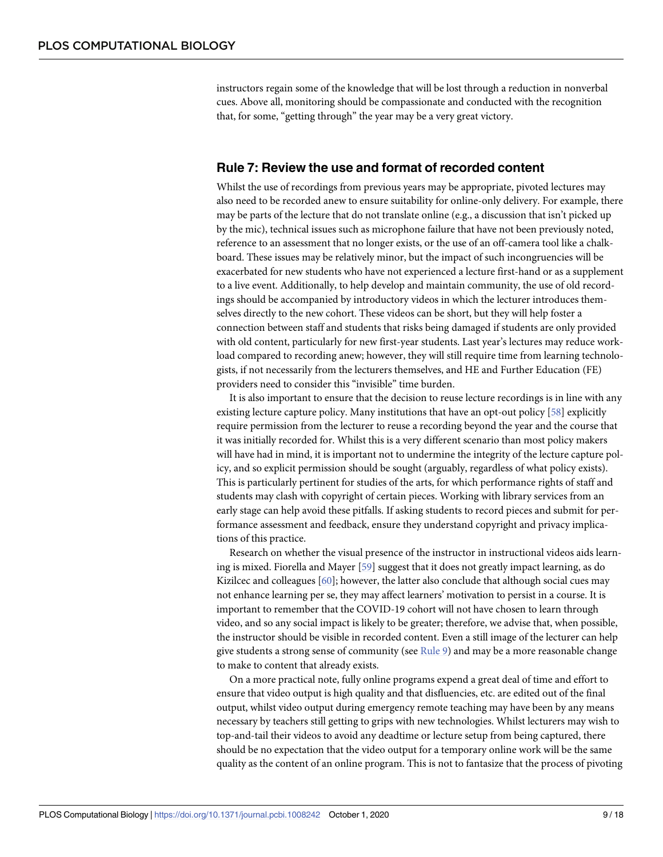<span id="page-8-0"></span>instructors regain some of the knowledge that will be lost through a reduction in nonverbal cues. Above all, monitoring should be compassionate and conducted with the recognition that, for some, "getting through" the year may be a very great victory.

#### **Rule 7: Review the use and format of recorded content**

Whilst the use of recordings from previous years may be appropriate, pivoted lectures may also need to be recorded anew to ensure suitability for online-only delivery. For example, there may be parts of the lecture that do not translate online (e.g., a discussion that isn't picked up by the mic), technical issues such as microphone failure that have not been previously noted, reference to an assessment that no longer exists, or the use of an off-camera tool like a chalkboard. These issues may be relatively minor, but the impact of such incongruencies will be exacerbated for new students who have not experienced a lecture first-hand or as a supplement to a live event. Additionally, to help develop and maintain community, the use of old recordings should be accompanied by introductory videos in which the lecturer introduces themselves directly to the new cohort. These videos can be short, but they will help foster a connection between staff and students that risks being damaged if students are only provided with old content, particularly for new first-year students. Last year's lectures may reduce workload compared to recording anew; however, they will still require time from learning technologists, if not necessarily from the lecturers themselves, and HE and Further Education (FE) providers need to consider this "invisible" time burden.

It is also important to ensure that the decision to reuse lecture recordings is in line with any existing lecture capture policy. Many institutions that have an opt-out policy [[58](#page-15-0)] explicitly require permission from the lecturer to reuse a recording beyond the year and the course that it was initially recorded for. Whilst this is a very different scenario than most policy makers will have had in mind, it is important not to undermine the integrity of the lecture capture policy, and so explicit permission should be sought (arguably, regardless of what policy exists). This is particularly pertinent for studies of the arts, for which performance rights of staff and students may clash with copyright of certain pieces. Working with library services from an early stage can help avoid these pitfalls. If asking students to record pieces and submit for performance assessment and feedback, ensure they understand copyright and privacy implications of this practice.

Research on whether the visual presence of the instructor in instructional videos aids learning is mixed. Fiorella and Mayer [\[59\]](#page-15-0) suggest that it does not greatly impact learning, as do Kizilcec and colleagues [\[60\]](#page-15-0); however, the latter also conclude that although social cues may not enhance learning per se, they may affect learners' motivation to persist in a course. It is important to remember that the COVID-19 cohort will not have chosen to learn through video, and so any social impact is likely to be greater; therefore, we advise that, when possible, the instructor should be visible in recorded content. Even a still image of the lecturer can help give students a strong sense of community (see [Rule](#page-10-0) 9) and may be a more reasonable change to make to content that already exists.

On a more practical note, fully online programs expend a great deal of time and effort to ensure that video output is high quality and that disfluencies, etc. are edited out of the final output, whilst video output during emergency remote teaching may have been by any means necessary by teachers still getting to grips with new technologies. Whilst lecturers may wish to top-and-tail their videos to avoid any deadtime or lecture setup from being captured, there should be no expectation that the video output for a temporary online work will be the same quality as the content of an online program. This is not to fantasize that the process of pivoting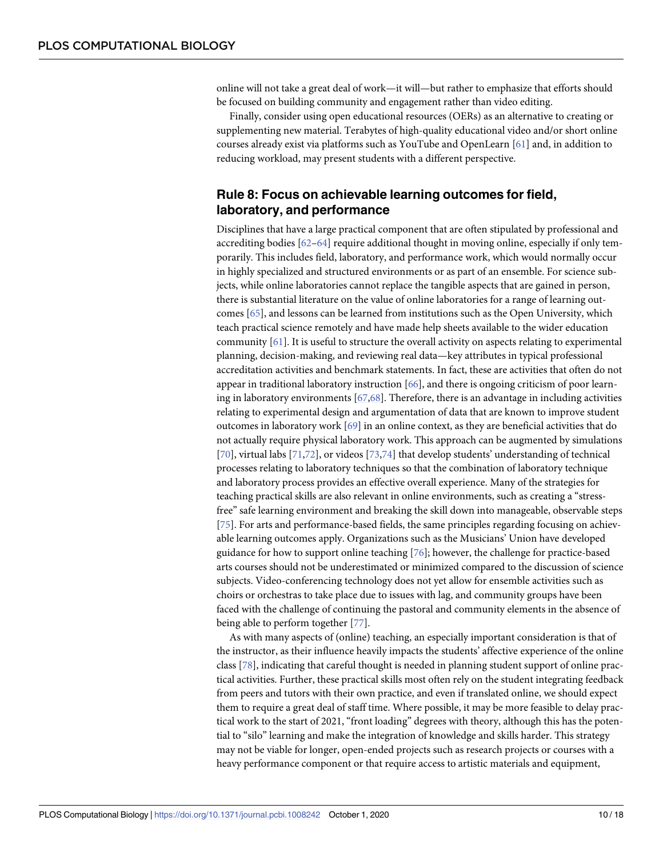<span id="page-9-0"></span>online will not take a great deal of work—it will—but rather to emphasize that efforts should be focused on building community and engagement rather than video editing.

Finally, consider using open educational resources (OERs) as an alternative to creating or supplementing new material. Terabytes of high-quality educational video and/or short online courses already exist via platforms such as YouTube and OpenLearn [[61\]](#page-15-0) and, in addition to reducing workload, may present students with a different perspective.

## **Rule 8: Focus on achievable learning outcomes for field, laboratory, and performance**

Disciplines that have a large practical component that are often stipulated by professional and accrediting bodies [62-64] require additional thought in moving online, especially if only temporarily. This includes field, laboratory, and performance work, which would normally occur in highly specialized and structured environments or as part of an ensemble. For science subjects, while online laboratories cannot replace the tangible aspects that are gained in person, there is substantial literature on the value of online laboratories for a range of learning outcomes [[65](#page-16-0)], and lessons can be learned from institutions such as the Open University, which teach practical science remotely and have made help sheets available to the wider education community [\[61\]](#page-15-0). It is useful to structure the overall activity on aspects relating to experimental planning, decision-making, and reviewing real data—key attributes in typical professional accreditation activities and benchmark statements. In fact, these are activities that often do not appear in traditional laboratory instruction [\[66\]](#page-16-0), and there is ongoing criticism of poor learning in laboratory environments [\[67,68](#page-16-0)]. Therefore, there is an advantage in including activities relating to experimental design and argumentation of data that are known to improve student outcomes in laboratory work [[69](#page-16-0)] in an online context, as they are beneficial activities that do not actually require physical laboratory work. This approach can be augmented by simulations [\[70\]](#page-16-0), virtual labs [\[71,72](#page-16-0)], or videos [\[73,74](#page-16-0)] that develop students' understanding of technical processes relating to laboratory techniques so that the combination of laboratory technique and laboratory process provides an effective overall experience. Many of the strategies for teaching practical skills are also relevant in online environments, such as creating a "stressfree" safe learning environment and breaking the skill down into manageable, observable steps [\[75\]](#page-16-0). For arts and performance-based fields, the same principles regarding focusing on achievable learning outcomes apply. Organizations such as the Musicians' Union have developed guidance for how to support online teaching [\[76\]](#page-16-0); however, the challenge for practice-based arts courses should not be underestimated or minimized compared to the discussion of science subjects. Video-conferencing technology does not yet allow for ensemble activities such as choirs or orchestras to take place due to issues with lag, and community groups have been faced with the challenge of continuing the pastoral and community elements in the absence of being able to perform together [[77](#page-16-0)].

As with many aspects of (online) teaching, an especially important consideration is that of the instructor, as their influence heavily impacts the students' affective experience of the online class [[78](#page-16-0)], indicating that careful thought is needed in planning student support of online practical activities. Further, these practical skills most often rely on the student integrating feedback from peers and tutors with their own practice, and even if translated online, we should expect them to require a great deal of staff time. Where possible, it may be more feasible to delay practical work to the start of 2021, "front loading" degrees with theory, although this has the potential to "silo" learning and make the integration of knowledge and skills harder. This strategy may not be viable for longer, open-ended projects such as research projects or courses with a heavy performance component or that require access to artistic materials and equipment,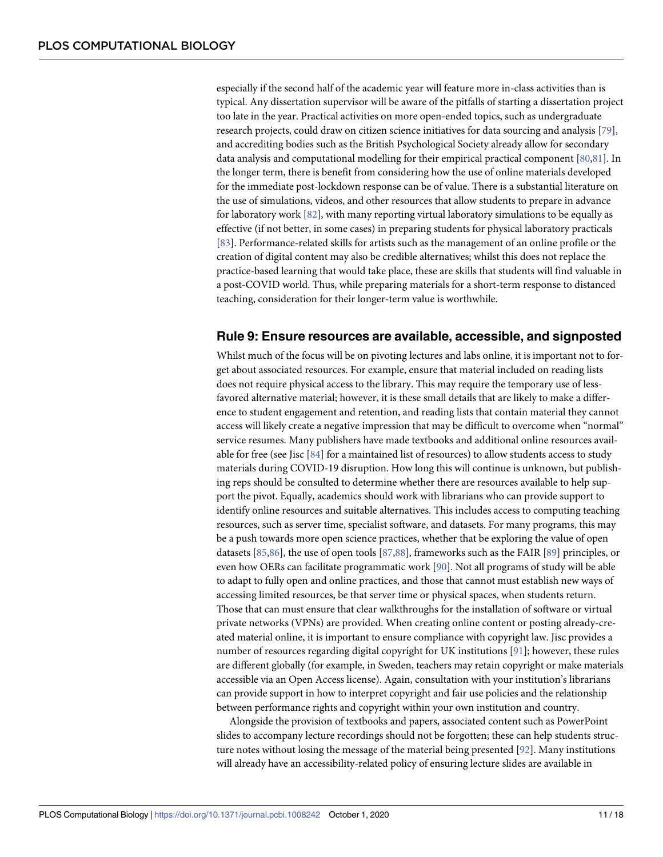<span id="page-10-0"></span>especially if the second half of the academic year will feature more in-class activities than is typical. Any dissertation supervisor will be aware of the pitfalls of starting a dissertation project too late in the year. Practical activities on more open-ended topics, such as undergraduate research projects, could draw on citizen science initiatives for data sourcing and analysis [[79](#page-16-0)], and accrediting bodies such as the British Psychological Society already allow for secondary data analysis and computational modelling for their empirical practical component [[80,81\]](#page-16-0). In the longer term, there is benefit from considering how the use of online materials developed for the immediate post-lockdown response can be of value. There is a substantial literature on the use of simulations, videos, and other resources that allow students to prepare in advance for laboratory work [[82](#page-16-0)], with many reporting virtual laboratory simulations to be equally as effective (if not better, in some cases) in preparing students for physical laboratory practicals [\[83\]](#page-16-0). Performance-related skills for artists such as the management of an online profile or the creation of digital content may also be credible alternatives; whilst this does not replace the practice-based learning that would take place, these are skills that students will find valuable in a post-COVID world. Thus, while preparing materials for a short-term response to distanced teaching, consideration for their longer-term value is worthwhile.

#### **Rule 9: Ensure resources are available, accessible, and signposted**

Whilst much of the focus will be on pivoting lectures and labs online, it is important not to forget about associated resources. For example, ensure that material included on reading lists does not require physical access to the library. This may require the temporary use of lessfavored alternative material; however, it is these small details that are likely to make a difference to student engagement and retention, and reading lists that contain material they cannot access will likely create a negative impression that may be difficult to overcome when "normal" service resumes. Many publishers have made textbooks and additional online resources available for free (see Jisc [[84](#page-16-0)] for a maintained list of resources) to allow students access to study materials during COVID-19 disruption. How long this will continue is unknown, but publishing reps should be consulted to determine whether there are resources available to help support the pivot. Equally, academics should work with librarians who can provide support to identify online resources and suitable alternatives. This includes access to computing teaching resources, such as server time, specialist software, and datasets. For many programs, this may be a push towards more open science practices, whether that be exploring the value of open datasets [\[85,86](#page-16-0)], the use of open tools [\[87,](#page-16-0)[88\]](#page-17-0), frameworks such as the FAIR [[89](#page-17-0)] principles, or even how OERs can facilitate programmatic work [\[90\]](#page-17-0). Not all programs of study will be able to adapt to fully open and online practices, and those that cannot must establish new ways of accessing limited resources, be that server time or physical spaces, when students return. Those that can must ensure that clear walkthroughs for the installation of software or virtual private networks (VPNs) are provided. When creating online content or posting already-created material online, it is important to ensure compliance with copyright law. Jisc provides a number of resources regarding digital copyright for UK institutions [\[91\]](#page-17-0); however, these rules are different globally (for example, in Sweden, teachers may retain copyright or make materials accessible via an Open Access license). Again, consultation with your institution's librarians can provide support in how to interpret copyright and fair use policies and the relationship between performance rights and copyright within your own institution and country.

Alongside the provision of textbooks and papers, associated content such as PowerPoint slides to accompany lecture recordings should not be forgotten; these can help students structure notes without losing the message of the material being presented [\[92\]](#page-17-0). Many institutions will already have an accessibility-related policy of ensuring lecture slides are available in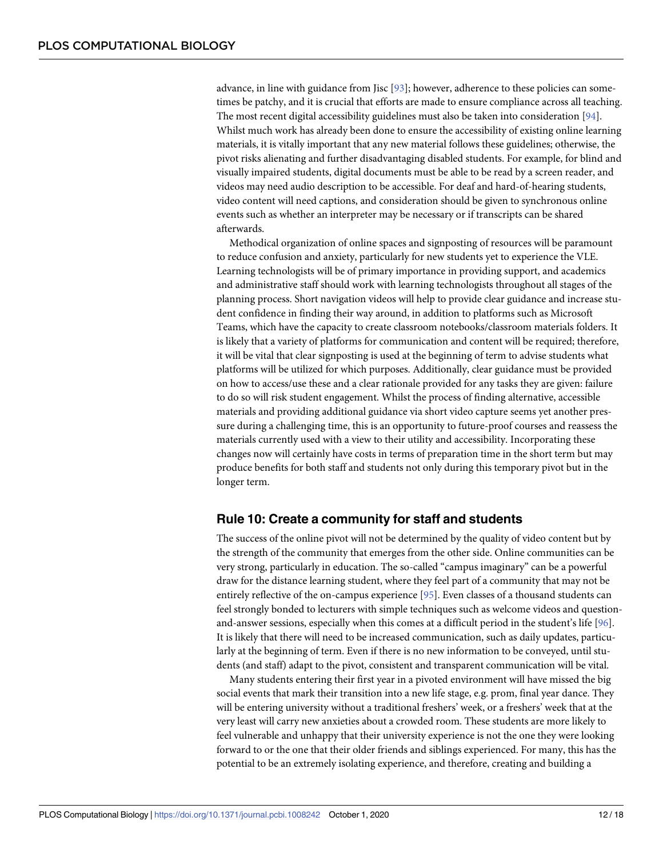<span id="page-11-0"></span>advance, in line with guidance from Jisc [\[93\]](#page-17-0); however, adherence to these policies can sometimes be patchy, and it is crucial that efforts are made to ensure compliance across all teaching. The most recent digital accessibility guidelines must also be taken into consideration [\[94\]](#page-17-0). Whilst much work has already been done to ensure the accessibility of existing online learning materials, it is vitally important that any new material follows these guidelines; otherwise, the pivot risks alienating and further disadvantaging disabled students. For example, for blind and visually impaired students, digital documents must be able to be read by a screen reader, and videos may need audio description to be accessible. For deaf and hard-of-hearing students, video content will need captions, and consideration should be given to synchronous online events such as whether an interpreter may be necessary or if transcripts can be shared afterwards.

Methodical organization of online spaces and signposting of resources will be paramount to reduce confusion and anxiety, particularly for new students yet to experience the VLE. Learning technologists will be of primary importance in providing support, and academics and administrative staff should work with learning technologists throughout all stages of the planning process. Short navigation videos will help to provide clear guidance and increase student confidence in finding their way around, in addition to platforms such as Microsoft Teams, which have the capacity to create classroom notebooks/classroom materials folders. It is likely that a variety of platforms for communication and content will be required; therefore, it will be vital that clear signposting is used at the beginning of term to advise students what platforms will be utilized for which purposes. Additionally, clear guidance must be provided on how to access/use these and a clear rationale provided for any tasks they are given: failure to do so will risk student engagement. Whilst the process of finding alternative, accessible materials and providing additional guidance via short video capture seems yet another pressure during a challenging time, this is an opportunity to future-proof courses and reassess the materials currently used with a view to their utility and accessibility. Incorporating these changes now will certainly have costs in terms of preparation time in the short term but may produce benefits for both staff and students not only during this temporary pivot but in the longer term.

#### **Rule 10: Create a community for staff and students**

The success of the online pivot will not be determined by the quality of video content but by the strength of the community that emerges from the other side. Online communities can be very strong, particularly in education. The so-called "campus imaginary" can be a powerful draw for the distance learning student, where they feel part of a community that may not be entirely reflective of the on-campus experience [\[95\]](#page-17-0). Even classes of a thousand students can feel strongly bonded to lecturers with simple techniques such as welcome videos and questionand-answer sessions, especially when this comes at a difficult period in the student's life [[96](#page-17-0)]. It is likely that there will need to be increased communication, such as daily updates, particularly at the beginning of term. Even if there is no new information to be conveyed, until students (and staff) adapt to the pivot, consistent and transparent communication will be vital.

Many students entering their first year in a pivoted environment will have missed the big social events that mark their transition into a new life stage, e.g. prom, final year dance. They will be entering university without a traditional freshers' week, or a freshers' week that at the very least will carry new anxieties about a crowded room. These students are more likely to feel vulnerable and unhappy that their university experience is not the one they were looking forward to or the one that their older friends and siblings experienced. For many, this has the potential to be an extremely isolating experience, and therefore, creating and building a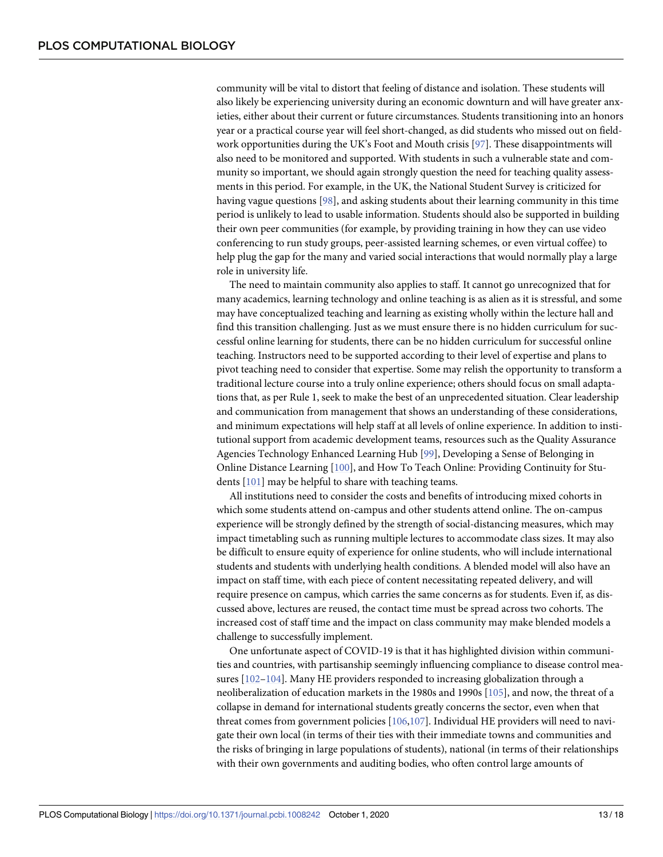<span id="page-12-0"></span>community will be vital to distort that feeling of distance and isolation. These students will also likely be experiencing university during an economic downturn and will have greater anxieties, either about their current or future circumstances. Students transitioning into an honors year or a practical course year will feel short-changed, as did students who missed out on fieldwork opportunities during the UK's Foot and Mouth crisis [[97](#page-17-0)]. These disappointments will also need to be monitored and supported. With students in such a vulnerable state and community so important, we should again strongly question the need for teaching quality assessments in this period. For example, in the UK, the National Student Survey is criticized for having vague questions [\[98\]](#page-17-0), and asking students about their learning community in this time period is unlikely to lead to usable information. Students should also be supported in building their own peer communities (for example, by providing training in how they can use video conferencing to run study groups, peer-assisted learning schemes, or even virtual coffee) to help plug the gap for the many and varied social interactions that would normally play a large role in university life.

The need to maintain community also applies to staff. It cannot go unrecognized that for many academics, learning technology and online teaching is as alien as it is stressful, and some may have conceptualized teaching and learning as existing wholly within the lecture hall and find this transition challenging. Just as we must ensure there is no hidden curriculum for successful online learning for students, there can be no hidden curriculum for successful online teaching. Instructors need to be supported according to their level of expertise and plans to pivot teaching need to consider that expertise. Some may relish the opportunity to transform a traditional lecture course into a truly online experience; others should focus on small adaptations that, as per Rule 1, seek to make the best of an unprecedented situation. Clear leadership and communication from management that shows an understanding of these considerations, and minimum expectations will help staff at all levels of online experience. In addition to institutional support from academic development teams, resources such as the Quality Assurance Agencies Technology Enhanced Learning Hub [[99](#page-17-0)], Developing a Sense of Belonging in Online Distance Learning [[100\]](#page-17-0), and How To Teach Online: Providing Continuity for Students [\[101](#page-17-0)] may be helpful to share with teaching teams.

All institutions need to consider the costs and benefits of introducing mixed cohorts in which some students attend on-campus and other students attend online. The on-campus experience will be strongly defined by the strength of social-distancing measures, which may impact timetabling such as running multiple lectures to accommodate class sizes. It may also be difficult to ensure equity of experience for online students, who will include international students and students with underlying health conditions. A blended model will also have an impact on staff time, with each piece of content necessitating repeated delivery, and will require presence on campus, which carries the same concerns as for students. Even if, as discussed above, lectures are reused, the contact time must be spread across two cohorts. The increased cost of staff time and the impact on class community may make blended models a challenge to successfully implement.

One unfortunate aspect of COVID-19 is that it has highlighted division within communities and countries, with partisanship seemingly influencing compliance to disease control measures [102-104]. Many HE providers responded to increasing globalization through a neoliberalization of education markets in the 1980s and 1990s [[105](#page-17-0)], and now, the threat of a collapse in demand for international students greatly concerns the sector, even when that threat comes from government policies [[106,107\]](#page-17-0). Individual HE providers will need to navigate their own local (in terms of their ties with their immediate towns and communities and the risks of bringing in large populations of students), national (in terms of their relationships with their own governments and auditing bodies, who often control large amounts of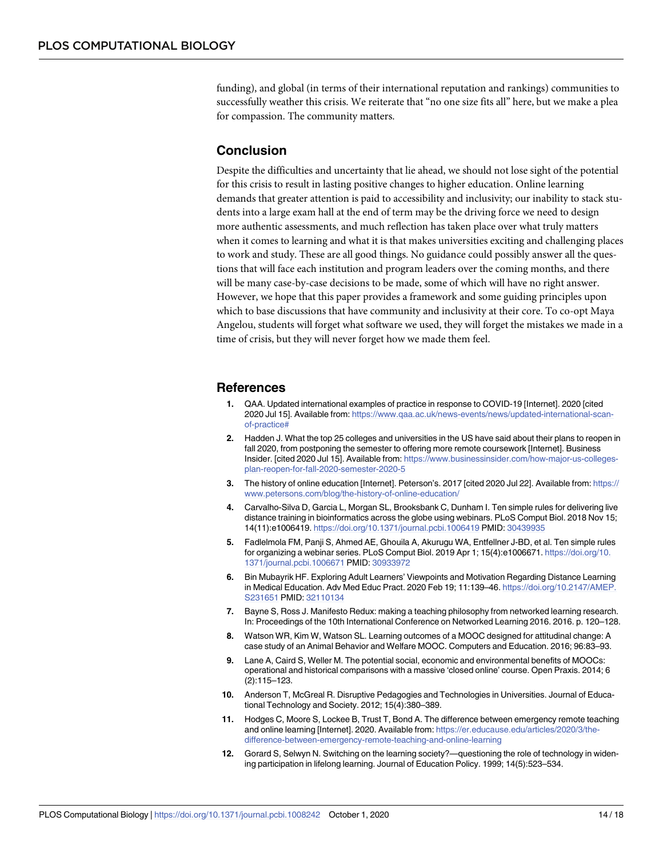<span id="page-13-0"></span>funding), and global (in terms of their international reputation and rankings) communities to successfully weather this crisis. We reiterate that "no one size fits all" here, but we make a plea for compassion. The community matters.

## **Conclusion**

Despite the difficulties and uncertainty that lie ahead, we should not lose sight of the potential for this crisis to result in lasting positive changes to higher education. Online learning demands that greater attention is paid to accessibility and inclusivity; our inability to stack students into a large exam hall at the end of term may be the driving force we need to design more authentic assessments, and much reflection has taken place over what truly matters when it comes to learning and what it is that makes universities exciting and challenging places to work and study. These are all good things. No guidance could possibly answer all the questions that will face each institution and program leaders over the coming months, and there will be many case-by-case decisions to be made, some of which will have no right answer. However, we hope that this paper provides a framework and some guiding principles upon which to base discussions that have community and inclusivity at their core. To co-opt Maya Angelou, students will forget what software we used, they will forget the mistakes we made in a time of crisis, but they will never forget how we made them feel.

#### **References**

- **[1.](#page-0-0)** QAA. Updated international examples of practice in response to COVID-19 [Internet]. 2020 [cited 2020 Jul 15]. Available from: [https://www.qaa.ac.uk/news-events/news/updated-international-scan](https://www.qaa.ac.uk/news-events/news/updated-international-scan-of-practice#)[of-practice#](https://www.qaa.ac.uk/news-events/news/updated-international-scan-of-practice#)
- **[2.](#page-0-0)** Hadden J. What the top 25 colleges and universities in the US have said about their plans to reopen in fall 2020, from postponing the semester to offering more remote coursework [Internet]. Business Insider. [cited 2020 Jul 15]. Available from: [https://www.businessinsider.com/how-major-us-colleges](https://www.businessinsider.com/how-major-us-colleges-plan-reopen-for-fall-2020-semester-2020-5)[plan-reopen-for-fall-2020-semester-2020-5](https://www.businessinsider.com/how-major-us-colleges-plan-reopen-for-fall-2020-semester-2020-5)
- **[3.](#page-1-0)** The history of online education [Internet]. Peterson's. 2017 [cited 2020 Jul 22]. Available from: [https://](https://www.petersons.com/blog/the-history-of-online-education/) [www.petersons.com/blog/the-history-of-online-education/](https://www.petersons.com/blog/the-history-of-online-education/)
- **[4.](#page-1-0)** Carvalho-Silva D, Garcia L, Morgan SL, Brooksbank C, Dunham I. Ten simple rules for delivering live distance training in bioinformatics across the globe using webinars. PLoS Comput Biol. 2018 Nov 15; 14(11):e1006419. <https://doi.org/10.1371/journal.pcbi.1006419> PMID: [30439935](http://www.ncbi.nlm.nih.gov/pubmed/30439935)
- **[5.](#page-1-0)** Fadlelmola FM, Panji S, Ahmed AE, Ghouila A, Akurugu WA, Entfellner J-BD, et al. Ten simple rules for organizing a webinar series. PLoS Comput Biol. 2019 Apr 1; 15(4):e1006671. [https://doi.org/10.](https://doi.org/10.1371/journal.pcbi.1006671) [1371/journal.pcbi.1006671](https://doi.org/10.1371/journal.pcbi.1006671) PMID: [30933972](http://www.ncbi.nlm.nih.gov/pubmed/30933972)
- **[6.](#page-1-0)** Bin Mubayrik HF. Exploring Adult Learners' Viewpoints and Motivation Regarding Distance Learning in Medical Education. Adv Med Educ Pract. 2020 Feb 19; 11:139–46. [https://doi.org/10.2147/AMEP.](https://doi.org/10.2147/AMEP.S231651) [S231651](https://doi.org/10.2147/AMEP.S231651) PMID: [32110134](http://www.ncbi.nlm.nih.gov/pubmed/32110134)
- **[7.](#page-1-0)** Bayne S, Ross J. Manifesto Redux: making a teaching philosophy from networked learning research. In: Proceedings of the 10th International Conference on Networked Learning 2016. 2016. p. 120–128.
- **[8.](#page-1-0)** Watson WR, Kim W, Watson SL. Learning outcomes of a MOOC designed for attitudinal change: A case study of an Animal Behavior and Welfare MOOC. Computers and Education. 2016; 96:83–93.
- **[9.](#page-1-0)** Lane A, Caird S, Weller M. The potential social, economic and environmental benefits of MOOCs: operational and historical comparisons with a massive 'closed online' course. Open Praxis. 2014; 6 (2):115–123.
- **[10.](#page-1-0)** Anderson T, McGreal R. Disruptive Pedagogies and Technologies in Universities. Journal of Educational Technology and Society. 2012; 15(4):380–389.
- **[11.](#page-1-0)** Hodges C, Moore S, Lockee B, Trust T, Bond A. The difference between emergency remote teaching and online learning [Internet]. 2020. Available from: [https://er.educause.edu/articles/2020/3/the](https://er.educause.edu/articles/2020/3/the-difference-between-emergency-remote-teaching-and-online-learning)[difference-between-emergency-remote-teaching-and-online-learning](https://er.educause.edu/articles/2020/3/the-difference-between-emergency-remote-teaching-and-online-learning)
- **[12.](#page-2-0)** Gorard S, Selwyn N. Switching on the learning society?—questioning the role of technology in widening participation in lifelong learning. Journal of Education Policy. 1999; 14(5):523–534.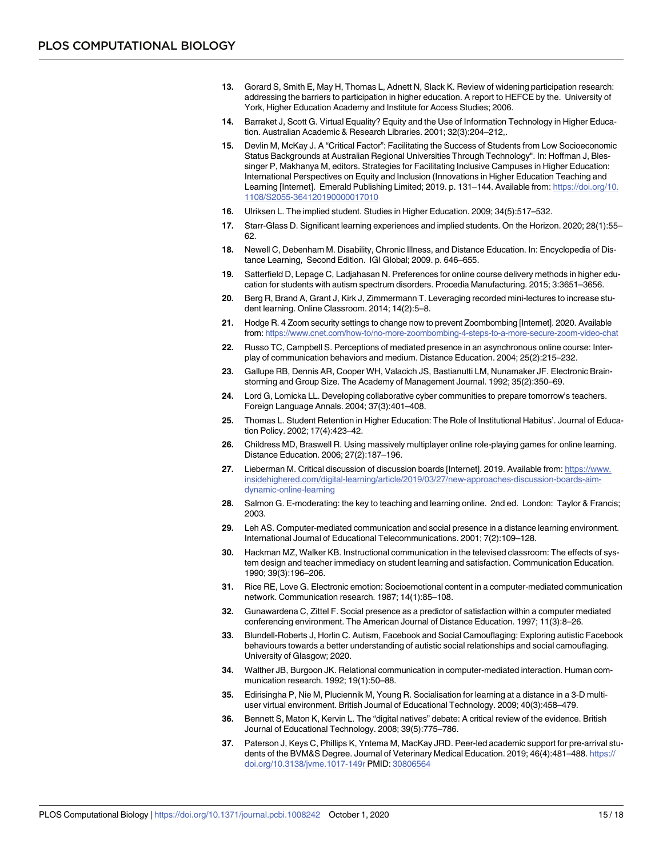- <span id="page-14-0"></span>**[13.](#page-2-0)** Gorard S, Smith E, May H, Thomas L, Adnett N, Slack K. Review of widening participation research: addressing the barriers to participation in higher education. A report to HEFCE by the. University of York, Higher Education Academy and Institute for Access Studies; 2006.
- **[14.](#page-2-0)** Barraket J, Scott G. Virtual Equality? Equity and the Use of Information Technology in Higher Education. Australian Academic & Research Libraries. 2001; 32(3):204–212,.
- **[15.](#page-2-0)** Devlin M, McKay J. A "Critical Factor": Facilitating the Success of Students from Low Socioeconomic Status Backgrounds at Australian Regional Universities Through Technology". In: Hoffman J, Blessinger P, Makhanya M, editors. Strategies for Facilitating Inclusive Campuses in Higher Education: International Perspectives on Equity and Inclusion (Innovations in Higher Education Teaching and Learning [Internet]. Emerald Publishing Limited; 2019. p. 131–144. Available from: [https://doi.org/10.](https://doi.org/10.1108/S2055-364120190000017010) [1108/S2055-364120190000017010](https://doi.org/10.1108/S2055-364120190000017010)
- **[16.](#page-2-0)** Ulriksen L. The implied student. Studies in Higher Education. 2009; 34(5):517–532.
- **[17.](#page-2-0)** Starr-Glass D. Significant learning experiences and implied students. On the Horizon. 2020; 28(1):55– 62.
- **[18.](#page-2-0)** Newell C, Debenham M. Disability, Chronic Illness, and Distance Education. In: Encyclopedia of Distance Learning, Second Edition. IGI Global; 2009. p. 646–655.
- **[19.](#page-2-0)** Satterfield D, Lepage C, Ladjahasan N. Preferences for online course delivery methods in higher education for students with autism spectrum disorders. Procedia Manufacturing. 2015; 3:3651–3656.
- **[20.](#page-2-0)** Berg R, Brand A, Grant J, Kirk J, Zimmermann T. Leveraging recorded mini-lectures to increase student learning. Online Classroom. 2014; 14(2):5–8.
- **[21.](#page-3-0)** Hodge R. 4 Zoom security settings to change now to prevent Zoombombing [Internet]. 2020. Available from: <https://www.cnet.com/how-to/no-more-zoombombing-4-steps-to-a-more-secure-zoom-video-chat>
- **[22.](#page-4-0)** Russo TC, Campbell S. Perceptions of mediated presence in an asynchronous online course: Interplay of communication behaviors and medium. Distance Education. 2004; 25(2):215–232.
- **[23.](#page-4-0)** Gallupe RB, Dennis AR, Cooper WH, Valacich JS, Bastianutti LM, Nunamaker JF. Electronic Brainstorming and Group Size. The Academy of Management Journal. 1992; 35(2):350–69.
- **[24.](#page-4-0)** Lord G, Lomicka LL. Developing collaborative cyber communities to prepare tomorrow's teachers. Foreign Language Annals. 2004; 37(3):401–408.
- **[25.](#page-4-0)** Thomas L. Student Retention in Higher Education: The Role of Institutional Habitus'. Journal of Education Policy. 2002; 17(4):423–42.
- **[26.](#page-4-0)** Childress MD, Braswell R. Using massively multiplayer online role-playing games for online learning. Distance Education. 2006; 27(2):187–196.
- **[27.](#page-4-0)** Lieberman M. Critical discussion of discussion boards [Internet]. 2019. Available from: [https://www.](https://www.insidehighered.com/digital-learning/article/2019/03/27/new-approaches-discussion-boards-aim-dynamic-online-learning) [insidehighered.com/digital-learning/article/2019/03/27/new-approaches-discussion-boards-aim](https://www.insidehighered.com/digital-learning/article/2019/03/27/new-approaches-discussion-boards-aim-dynamic-online-learning)[dynamic-online-learning](https://www.insidehighered.com/digital-learning/article/2019/03/27/new-approaches-discussion-boards-aim-dynamic-online-learning)
- **[28.](#page-5-0)** Salmon G. E-moderating: the key to teaching and learning online. 2nd ed. London: Taylor & Francis; 2003.
- **[29.](#page-5-0)** Leh AS. Computer-mediated communication and social presence in a distance learning environment. International Journal of Educational Telecommunications. 2001; 7(2):109–128.
- **[30.](#page-5-0)** Hackman MZ, Walker KB. Instructional communication in the televised classroom: The effects of system design and teacher immediacy on student learning and satisfaction. Communication Education. 1990; 39(3):196–206.
- **[31.](#page-5-0)** Rice RE, Love G. Electronic emotion: Socioemotional content in a computer-mediated communication network. Communication research. 1987; 14(1):85–108.
- **[32.](#page-5-0)** Gunawardena C, Zittel F. Social presence as a predictor of satisfaction within a computer mediated conferencing environment. The American Journal of Distance Education. 1997; 11(3):8–26.
- **[33.](#page-5-0)** Blundell-Roberts J, Horlin C. Autism, Facebook and Social Camouflaging: Exploring autistic Facebook behaviours towards a better understanding of autistic social relationships and social camouflaging. University of Glasgow; 2020.
- **[34.](#page-5-0)** Walther JB, Burgoon JK. Relational communication in computer-mediated interaction. Human communication research. 1992; 19(1):50–88.
- **[35.](#page-5-0)** Edirisingha P, Nie M, Pluciennik M, Young R. Socialisation for learning at a distance in a 3-D multiuser virtual environment. British Journal of Educational Technology. 2009; 40(3):458–479.
- **[36.](#page-5-0)** Bennett S, Maton K, Kervin L. The "digital natives" debate: A critical review of the evidence. British Journal of Educational Technology. 2008; 39(5):775–786.
- **[37.](#page-5-0)** Paterson J, Keys C, Phillips K, Yntema M, MacKay JRD. Peer-led academic support for pre-arrival students of the BVM&S Degree. Journal of Veterinary Medical Education. 2019; 46(4):481–488. [https://](https://doi.org/10.3138/jvme.1017-149r) [doi.org/10.3138/jvme.1017-149r](https://doi.org/10.3138/jvme.1017-149r) PMID: [30806564](http://www.ncbi.nlm.nih.gov/pubmed/30806564)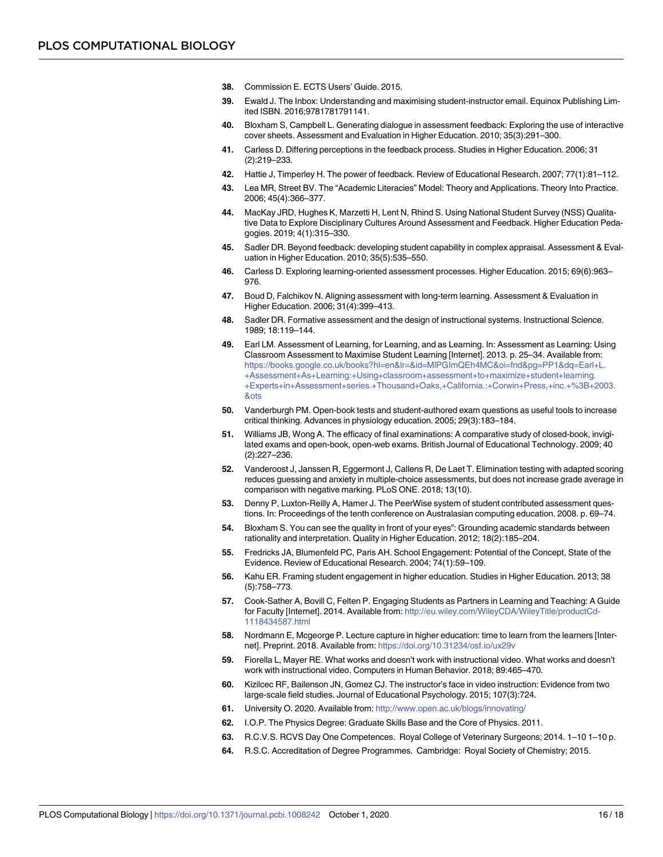- <span id="page-15-0"></span>**[38.](#page-5-0)** Commission E. ECTS Users' Guide. 2015.
- **[39.](#page-6-0)** Ewald J. The Inbox: Understanding and maximising student-instructor email. Equinox Publishing Limited ISBN. 2016;9781781791141.
- **[40.](#page-6-0)** Bloxham S, Campbell L. Generating dialogue in assessment feedback: Exploring the use of interactive cover sheets. Assessment and Evaluation in Higher Education. 2010; 35(3):291–300.
- **[41.](#page-6-0)** Carless D. Differing perceptions in the feedback process. Studies in Higher Education. 2006; 31 (2):219–233.
- **[42.](#page-6-0)** Hattie J, Timperley H. The power of feedback. Review of Educational Research. 2007; 77(1):81–112.
- **[43.](#page-6-0)** Lea MR, Street BV. The "Academic Literacies" Model: Theory and Applications. Theory Into Practice. 2006; 45(4):366–377.
- **[44.](#page-6-0)** MacKay JRD, Hughes K, Marzetti H, Lent N, Rhind S. Using National Student Survey (NSS) Qualitative Data to Explore Disciplinary Cultures Around Assessment and Feedback. Higher Education Pedagogies. 2019; 4(1):315–330.
- **[45.](#page-6-0)** Sadler DR. Beyond feedback: developing student capability in complex appraisal. Assessment & Evaluation in Higher Education. 2010; 35(5):535–550.
- **[46.](#page-6-0)** Carless D. Exploring learning-oriented assessment processes. Higher Education. 2015; 69(6):963– 976.
- **[47.](#page-6-0)** Boud D, Falchikov N. Aligning assessment with long-term learning. Assessment & Evaluation in Higher Education. 2006; 31(4):399–413.
- **[48.](#page-6-0)** Sadler DR. Formative assessment and the design of instructional systems. Instructional Science. 1989; 18:119–144.
- **[49.](#page-6-0)** Earl LM. Assessment of Learning, for Learning, and as Learning. In: Assessment as Learning: Using Classroom Assessment to Maximise Student Learning [Internet]. 2013. p. 25–34. Available from: [https://books.google.co.uk/books?hl=en&lr=&id=MlPGImQEh4MC&oi=fnd&pg=PP1&dq=Earl+L.](https://books.google.co.uk/books?hl=en&lr=&id=MlPGImQEh4MC&oi=fnd&pg=PP1&dq=Earl+L.+Assessment+As+Learning:+Using+classroom+assessment+to+maximize+student+learning.+Experts+in+Assessment+series.+Thousand+Oaks,+California.:+Corwin+Press,+inc.+%3B+2003.&ots) [+Assessment+As+Learning:+Using+classroom+assessment+to+maximize+student+learning.](https://books.google.co.uk/books?hl=en&lr=&id=MlPGImQEh4MC&oi=fnd&pg=PP1&dq=Earl+L.+Assessment+As+Learning:+Using+classroom+assessment+to+maximize+student+learning.+Experts+in+Assessment+series.+Thousand+Oaks,+California.:+Corwin+Press,+inc.+%3B+2003.&ots) [+Experts+in+Assessment+series.+Thousand+Oaks,+California.:+Corwin+Press,+inc.+%3B+2003.](https://books.google.co.uk/books?hl=en&lr=&id=MlPGImQEh4MC&oi=fnd&pg=PP1&dq=Earl+L.+Assessment+As+Learning:+Using+classroom+assessment+to+maximize+student+learning.+Experts+in+Assessment+series.+Thousand+Oaks,+California.:+Corwin+Press,+inc.+%3B+2003.&ots) [&ots](https://books.google.co.uk/books?hl=en&lr=&id=MlPGImQEh4MC&oi=fnd&pg=PP1&dq=Earl+L.+Assessment+As+Learning:+Using+classroom+assessment+to+maximize+student+learning.+Experts+in+Assessment+series.+Thousand+Oaks,+California.:+Corwin+Press,+inc.+%3B+2003.&ots)
- **[50.](#page-6-0)** Vanderburgh PM. Open-book tests and student-authored exam questions as useful tools to increase critical thinking. Advances in physiology education. 2005; 29(3):183–184.
- **[51.](#page-6-0)** Williams JB, Wong A. The efficacy of final examinations: A comparative study of closed-book, invigilated exams and open-book, open-web exams. British Journal of Educational Technology. 2009; 40 (2):227–236.
- **[52.](#page-7-0)** Vanderoost J, Janssen R, Eggermont J, Callens R, De Laet T. Elimination testing with adapted scoring reduces guessing and anxiety in multiple-choice assessments, but does not increase grade average in comparison with negative marking. PLoS ONE. 2018; 13(10).
- **[53.](#page-7-0)** Denny P, Luxton-Reilly A, Hamer J. The PeerWise system of student contributed assessment questions. In: Proceedings of the tenth conference on Australasian computing education. 2008. p. 69–74.
- **[54.](#page-7-0)** Bloxham S. You can see the quality in front of your eyes": Grounding academic standards between rationality and interpretation. Quality in Higher Education. 2012; 18(2):185–204.
- **[55.](#page-7-0)** Fredricks JA, Blumenfeld PC, Paris AH. School Engagement: Potential of the Concept, State of the Evidence. Review of Educational Research. 2004; 74(1):59–109.
- **[56.](#page-7-0)** Kahu ER. Framing student engagement in higher education. Studies in Higher Education. 2013; 38 (5):758–773.
- **[57.](#page-7-0)** Cook-Sather A, Bovill C, Felten P. Engaging Students as Partners in Learning and Teaching: A Guide for Faculty [Internet]. 2014. Available from: [http://eu.wiley.com/WileyCDA/WileyTitle/productCd-](http://eu.wiley.com/WileyCDA/WileyTitle/productCd-1118434587.html)[1118434587.html](http://eu.wiley.com/WileyCDA/WileyTitle/productCd-1118434587.html)
- **[58.](#page-8-0)** Nordmann E, Mcgeorge P. Lecture capture in higher education: time to learn from the learners [Internet]. Preprint. 2018. Available from: <https://doi.org/10.31234/osf.io/ux29v>
- **[59.](#page-8-0)** Fiorella L, Mayer RE. What works and doesn't work with instructional video. What works and doesn't work with instructional video. Computers in Human Behavior. 2018; 89:465–470.
- **[60.](#page-8-0)** Kizilcec RF, Bailenson JN, Gomez CJ. The instructor's face in video instruction: Evidence from two large-scale field studies. Journal of Educational Psychology. 2015; 107(3):724.
- **[61.](#page-9-0)** University O. 2020. Available from: <http://www.open.ac.uk/blogs/innovating/>
- **[62.](#page-9-0)** I.O.P. The Physics Degree: Graduate Skills Base and the Core of Physics. 2011.
- **63.** R.C.V.S. RCVS Day One Competences. Royal College of Veterinary Surgeons; 2014. 1–10 1–10 p.
- **[64.](#page-9-0)** R.S.C. Accreditation of Degree Programmes. Cambridge: Royal Society of Chemistry; 2015.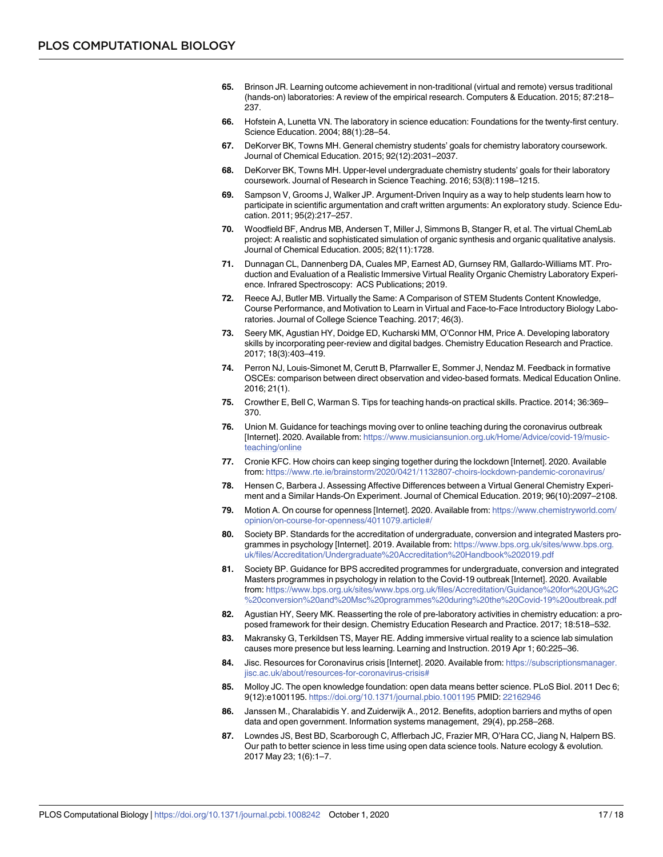- <span id="page-16-0"></span>**[65.](#page-9-0)** Brinson JR. Learning outcome achievement in non-traditional (virtual and remote) versus traditional (hands-on) laboratories: A review of the empirical research. Computers & Education. 2015; 87:218– 237.
- **[66.](#page-9-0)** Hofstein A, Lunetta VN. The laboratory in science education: Foundations for the twenty-first century. Science Education. 2004; 88(1):28–54.
- **[67.](#page-9-0)** DeKorver BK, Towns MH. General chemistry students' goals for chemistry laboratory coursework. Journal of Chemical Education. 2015; 92(12):2031–2037.
- **[68.](#page-9-0)** DeKorver BK, Towns MH. Upper-level undergraduate chemistry students' goals for their laboratory coursework. Journal of Research in Science Teaching. 2016; 53(8):1198–1215.
- **[69.](#page-9-0)** Sampson V, Grooms J, Walker JP. Argument-Driven Inquiry as a way to help students learn how to participate in scientific argumentation and craft written arguments: An exploratory study. Science Education. 2011; 95(2):217–257.
- **[70.](#page-9-0)** Woodfield BF, Andrus MB, Andersen T, Miller J, Simmons B, Stanger R, et al. The virtual ChemLab project: A realistic and sophisticated simulation of organic synthesis and organic qualitative analysis. Journal of Chemical Education. 2005; 82(11):1728.
- **[71.](#page-9-0)** Dunnagan CL, Dannenberg DA, Cuales MP, Earnest AD, Gurnsey RM, Gallardo-Williams MT. Production and Evaluation of a Realistic Immersive Virtual Reality Organic Chemistry Laboratory Experience. Infrared Spectroscopy: ACS Publications; 2019.
- **[72.](#page-9-0)** Reece AJ, Butler MB. Virtually the Same: A Comparison of STEM Students Content Knowledge, Course Performance, and Motivation to Learn in Virtual and Face-to-Face Introductory Biology Laboratories. Journal of College Science Teaching. 2017; 46(3).
- **[73.](#page-9-0)** Seery MK, Agustian HY, Doidge ED, Kucharski MM, O'Connor HM, Price A. Developing laboratory skills by incorporating peer-review and digital badges. Chemistry Education Research and Practice. 2017; 18(3):403–419.
- **[74.](#page-9-0)** Perron NJ, Louis-Simonet M, Cerutt B, Pfarrwaller E, Sommer J, Nendaz M. Feedback in formative OSCEs: comparison between direct observation and video-based formats. Medical Education Online. 2016; 21(1).
- **[75.](#page-9-0)** Crowther E, Bell C, Warman S. Tips for teaching hands-on practical skills. Practice. 2014; 36:369– 370.
- **[76.](#page-9-0)** Union M. Guidance for teachings moving over to online teaching during the coronavirus outbreak [Internet]. 2020. Available from: [https://www.musiciansunion.org.uk/Home/Advice/covid-19/music](https://www.musiciansunion.org.uk/Home/Advice/covid-19/music-teaching/online)[teaching/online](https://www.musiciansunion.org.uk/Home/Advice/covid-19/music-teaching/online)
- **[77.](#page-9-0)** Cronie KFC. How choirs can keep singing together during the lockdown [Internet]. 2020. Available from: <https://www.rte.ie/brainstorm/2020/0421/1132807-choirs-lockdown-pandemic-coronavirus/>
- **[78.](#page-9-0)** Hensen C, Barbera J. Assessing Affective Differences between a Virtual General Chemistry Experiment and a Similar Hands-On Experiment. Journal of Chemical Education. 2019; 96(10):2097–2108.
- **[79.](#page-10-0)** Motion A. On course for openness [Internet]. 2020. Available from: [https://www.chemistryworld.com/](https://www.chemistryworld.com/opinion/on-course-for-openness/4011079.article#/) [opinion/on-course-for-openness/4011079.article#/](https://www.chemistryworld.com/opinion/on-course-for-openness/4011079.article#/)
- **[80.](#page-10-0)** Society BP. Standards for the accreditation of undergraduate, conversion and integrated Masters programmes in psychology [Internet]. 2019. Available from: [https://www.bps.org.uk/sites/www.bps.org.](https://www.bps.org.uk/sites/www.bps.org.uk/files/Accreditation/Undergraduate%20Accreditation%20Handbook%202019.pdf) [uk/files/Accreditation/Undergraduate%20Accreditation%20Handbook%202019.pdf](https://www.bps.org.uk/sites/www.bps.org.uk/files/Accreditation/Undergraduate%20Accreditation%20Handbook%202019.pdf)
- **[81.](#page-10-0)** Society BP. Guidance for BPS accredited programmes for undergraduate, conversion and integrated Masters programmes in psychology in relation to the Covid-19 outbreak [Internet]. 2020. Available from: [https://www.bps.org.uk/sites/www.bps.org.uk/files/Accreditation/Guidance%20for%20UG%2C](https://www.bps.org.uk/sites/www.bps.org.uk/files/Accreditation/Guidance%20for%20UG%2C%20conversion%20and%20Msc%20programmes%20during%20the%20Covid-19%20outbreak.pdf) [%20conversion%20and%20Msc%20programmes%20during%20the%20Covid-19%20outbreak.pdf](https://www.bps.org.uk/sites/www.bps.org.uk/files/Accreditation/Guidance%20for%20UG%2C%20conversion%20and%20Msc%20programmes%20during%20the%20Covid-19%20outbreak.pdf)
- **[82.](#page-10-0)** Agustian HY, Seery MK. Reasserting the role of pre-laboratory activities in chemistry education: a proposed framework for their design. Chemistry Education Research and Practice. 2017; 18:518–532.
- **[83.](#page-10-0)** Makransky G, Terkildsen TS, Mayer RE. Adding immersive virtual reality to a science lab simulation causes more presence but less learning. Learning and Instruction. 2019 Apr 1; 60:225–36.
- **[84.](#page-10-0)** Jisc. Resources for Coronavirus crisis [Internet]. 2020. Available from: [https://subscriptionsmanager.](https://subscriptionsmanager.jisc.ac.uk/about/resources-for-coronavirus-crisis#) [jisc.ac.uk/about/resources-for-coronavirus-crisis#](https://subscriptionsmanager.jisc.ac.uk/about/resources-for-coronavirus-crisis#)
- **[85.](#page-10-0)** Molloy JC. The open knowledge foundation: open data means better science. PLoS Biol. 2011 Dec 6; 9(12):e1001195. <https://doi.org/10.1371/journal.pbio.1001195> PMID: [22162946](http://www.ncbi.nlm.nih.gov/pubmed/22162946)
- **[86.](#page-10-0)** Janssen M., Charalabidis Y. and Zuiderwijk A., 2012. Benefits, adoption barriers and myths of open data and open government. Information systems management, 29(4), pp.258–268.
- **[87.](#page-10-0)** Lowndes JS, Best BD, Scarborough C, Afflerbach JC, Frazier MR, O'Hara CC, Jiang N, Halpern BS. Our path to better science in less time using open data science tools. Nature ecology & evolution. 2017 May 23; 1(6):1–7.